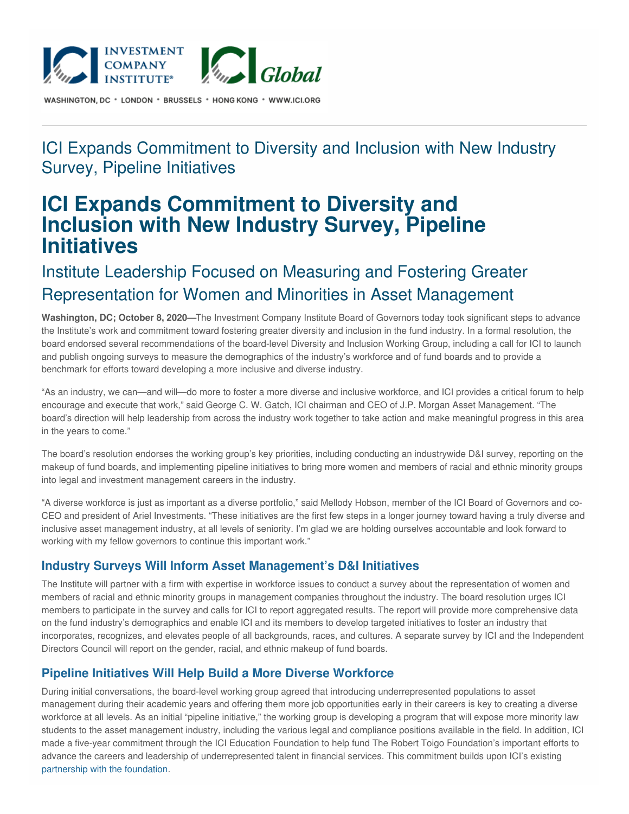

WASHINGTON, DC \* LONDON \* BRUSSELS \* HONG KONG \* WWW.ICI.ORG

### ICI Expands Commitment to Diversity and Inclusion with New Industry Survey, Pipeline Initiatives

# **ICI Expands Commitment to Diversity and Inclusion with New Industry Survey, Pipeline Initiatives**

## Institute Leadership Focused on Measuring and Fostering Greater Representation for Women and Minorities in Asset Management

**Washington, DC; October 8, 2020—**The Investment Company Institute Board of Governors today took significant steps to advance the Institute's work and commitment toward fostering greater diversity and inclusion in the fund industry. In a formal resolution, the board endorsed several recommendations of the board-level Diversity and Inclusion Working Group, including a call for ICI to launch and publish ongoing surveys to measure the demographics of the industry's workforce and of fund boards and to provide a benchmark for efforts toward developing a more inclusive and diverse industry.

"As an industry, we can—and will—do more to foster a more diverse and inclusive workforce, and ICI provides a critical forum to help encourage and execute that work," said George C. W. Gatch, ICI chairman and CEO of J.P. Morgan Asset Management. "The board's direction will help leadership from across the industry work together to take action and make meaningful progress in this area in the years to come."

The board's resolution endorses the working group's key priorities, including conducting an industrywide D&I survey, reporting on the makeup of fund boards, and implementing pipeline initiatives to bring more women and members of racial and ethnic minority groups into legal and investment management careers in the industry.

"A diverse workforce is just as important as a diverse portfolio," said Mellody Hobson, member of the ICI Board of Governors and co-CEO and president of Ariel Investments. "These initiatives are the first few steps in a longer journey toward having a truly diverse and inclusive asset management industry, at all levels of seniority. I'm glad we are holding ourselves accountable and look forward to working with my fellow governors to continue this important work."

#### **Industry Surveys Will Inform Asset Management's D&I Initiatives**

The Institute will partner with a firm with expertise in workforce issues to conduct a survey about the representation of women and members of racial and ethnic minority groups in management companies throughout the industry. The board resolution urges ICI members to participate in the survey and calls for ICI to report aggregated results. The report will provide more comprehensive data on the fund industry's demographics and enable ICI and its members to develop targeted initiatives to foster an industry that incorporates, recognizes, and elevates people of all backgrounds, races, and cultures. A separate survey by ICI and the Independent Directors Council will report on the gender, racial, and ethnic makeup of fund boards.

#### **Pipeline Initiatives Will Help Build a More Diverse Workforce**

During initial conversations, the board-level working group agreed that introducing underrepresented populations to asset management during their academic years and offering them more job opportunities early in their careers is key to creating a diverse workforce at all levels. As an initial "pipeline initiative," the working group is developing a program that will expose more minority law students to the asset management industry, including the various legal and compliance positions available in the field. In addition, ICI made a five-year commitment through the ICI Education Foundation to help fund The Robert Toigo Foundation's important efforts to advance the careers and leadership of underrepresented talent in financial services. This commitment builds upon ICI's existing [partnership](https://www.ici.org/pressroom/news/19_news_toigoscholarship) with the foundation.